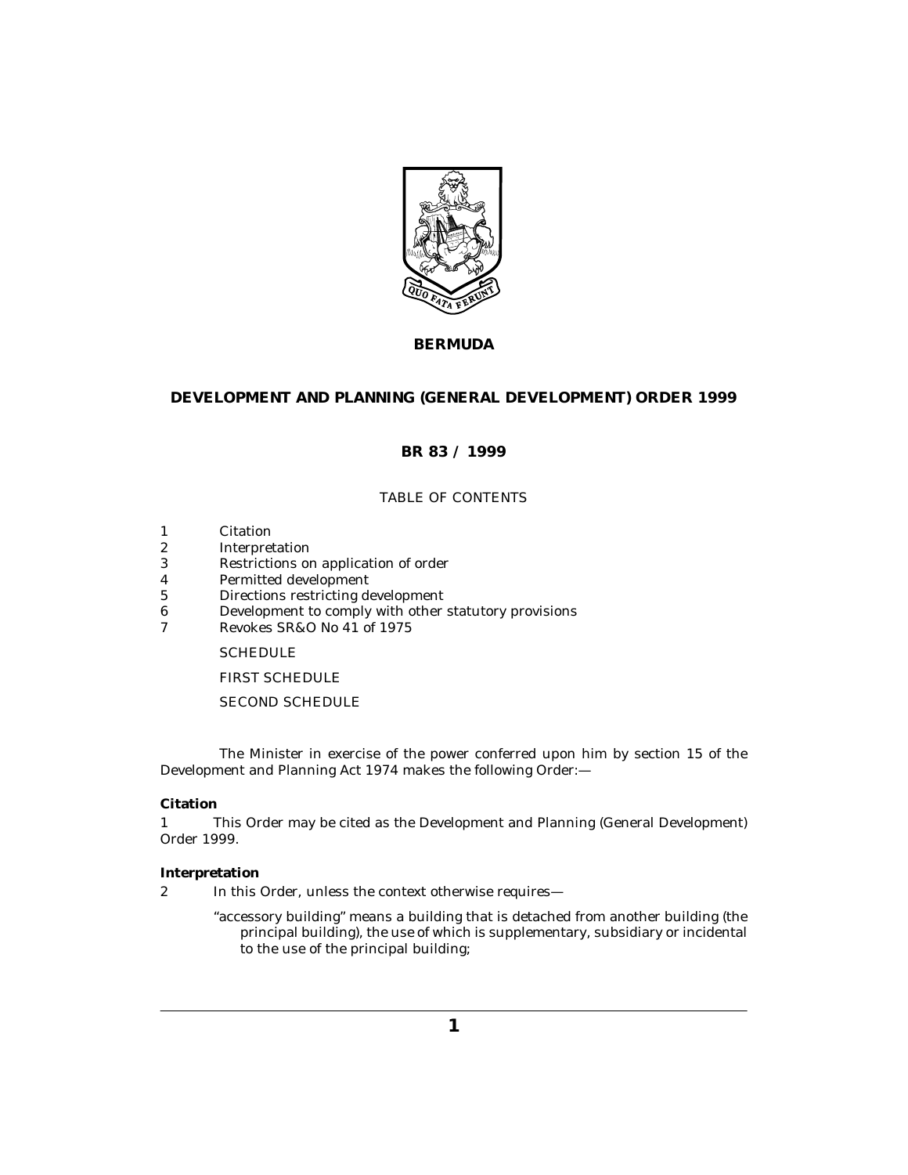

# **BERMUDA**

# **DEVELOPMENT AND PLANNING (GENERAL DEVELOPMENT) ORDER 1999**

# **BR 83 / 1999**

# TABLE OF CONTENTS

- Citation 1
- Interpretation 2
- [Restrictions on application of order](#page-2-0) 3
- [Permitted development](#page-3-0) 4
- [Directions restricting development](#page-4-0) 5
- [Development to comply with other statutory provisions](#page-4-0) 6
- [Revokes SR&O No 41 of 1975](#page-4-0) 7

## **[SCHEDULE](#page-5-0)**

[FIRST SCHEDULE](#page-13-0)

# [SECOND SCHEDULE](#page-14-0)

The Minister in exercise of the power conferred upon him by section 15 of the Development and Planning Act 1974 makes the following Order:—

# **Citation**

This Order may be cited as the Development and Planning (General Development) Order 1999. 1

#### **Interpretation**

- In this Order, unless the context otherwise requires— 2
	- "accessory building" means a building that is detached from another building (the principal building), the use of which is supplementary, subsidiary or incidental to the use of the principal building;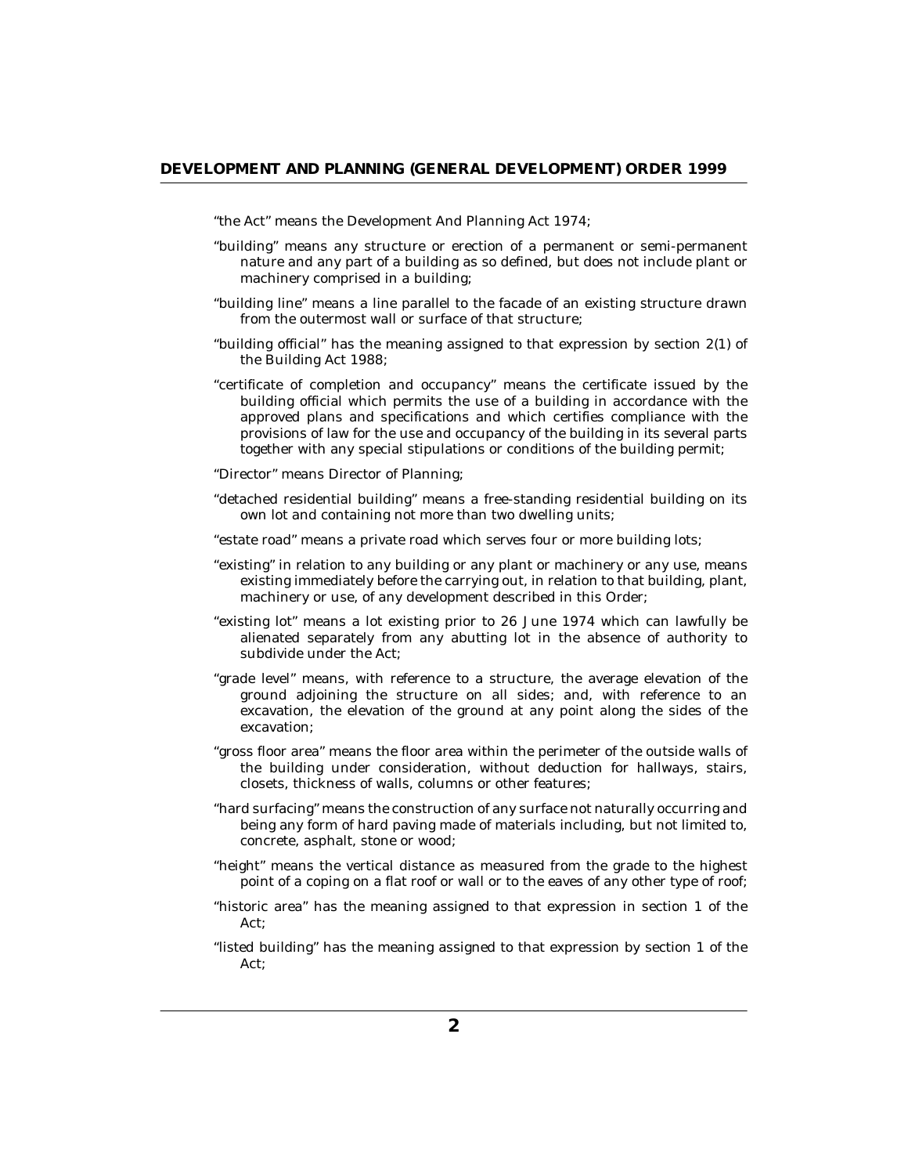"the Act" means the Development And Planning Act 1974;

- "building" means any structure or erection of a permanent or semi-permanent nature and any part of a building as so defined, but does not include plant or machinery comprised in a building;
- "building line" means a line parallel to the facade of an existing structure drawn from the outermost wall or surface of that structure;
- "building official" has the meaning assigned to that expression by section 2(1) of the Building Act 1988;
- "certificate of completion and occupancy" means the certificate issued by the building official which permits the use of a building in accordance with the approved plans and specifications and which certifies compliance with the provisions of law for the use and occupancy of the building in its several parts together with any special stipulations or conditions of the building permit;
- "Director" means Director of Planning;
- "detached residential building" means a free-standing residential building on its own lot and containing not more than two dwelling units;
- "estate road" means a private road which serves four or more building lots;
- "existing" in relation to any building or any plant or machinery or any use, means existing immediately before the carrying out, in relation to that building, plant, machinery or use, of any development described in this Order;
- "existing lot" means a lot existing prior to 26 June 1974 which can lawfully be alienated separately from any abutting lot in the absence of authority to subdivide under the Act;
- "grade level" means, with reference to a structure, the average elevation of the ground adjoining the structure on all sides; and, with reference to an excavation, the elevation of the ground at any point along the sides of the excavation;
- "gross floor area" means the floor area within the perimeter of the outside walls of the building under consideration, without deduction for hallways, stairs, closets, thickness of walls, columns or other features;
- "hard surfacing" means the construction of any surface not naturally occurring and being any form of hard paving made of materials including, but not limited to, concrete, asphalt, stone or wood;
- "height" means the vertical distance as measured from the grade to the highest point of a coping on a flat roof or wall or to the eaves of any other type of roof;
- "historic area" has the meaning assigned to that expression in section 1 of the Act;
- "listed building" has the meaning assigned to that expression by section 1 of the Act;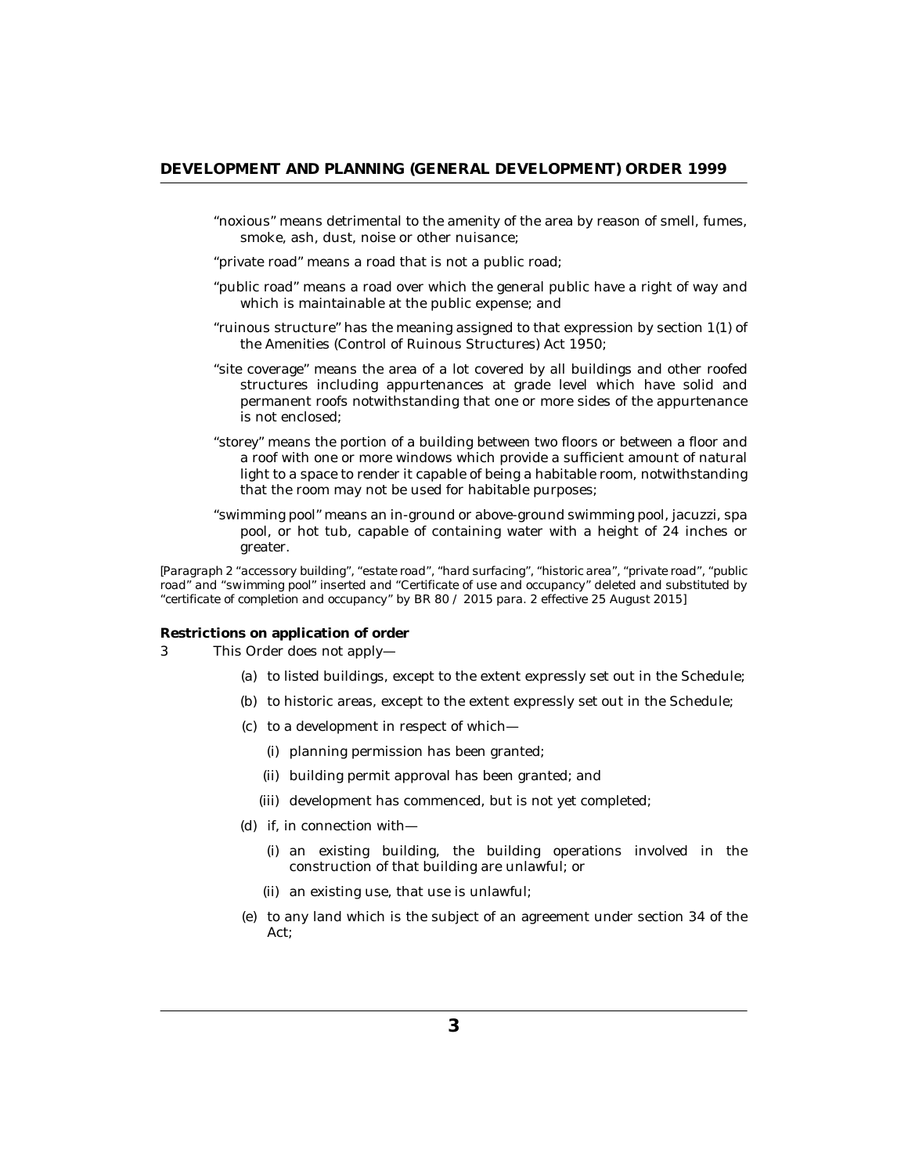- <span id="page-2-0"></span>"noxious" means detrimental to the amenity of the area by reason of smell, fumes, smoke, ash, dust, noise or other nuisance;
- "private road" means a road that is not a public road;
- "public road" means a road over which the general public have a right of way and which is maintainable at the public expense; and
- "ruinous structure" has the meaning assigned to that expression by section 1(1) of the Amenities (Control of Ruinous Structures) Act 1950;
- "site coverage" means the area of a lot covered by all buildings and other roofed structures including appurtenances at grade level which have solid and permanent roofs notwithstanding that one or more sides of the appurtenance is not enclosed;
- "storey" means the portion of a building between two floors or between a floor and a roof with one or more windows which provide a sufficient amount of natural light to a space to render it capable of being a habitable room, notwithstanding that the room may not be used for habitable purposes;
- "swimming pool" means an in-ground or above-ground swimming pool, jacuzzi, spa pool, or hot tub, capable of containing water with a height of 24 inches or greater.

*[Paragraph 2 "accessory building", "estate road", "hard surfacing", "historic area", "private road", "public road" and "swimming pool" inserted and "Certificate of use and occupancy" deleted and substituted by "certificate of completion and occupancy" by BR 80 / 2015 para. 2 effective 25 August 2015]*

**Restrictions on application of order**

- This Order does not apply— 3
	- (a) to listed buildings, except to the extent expressly set out in the Schedule;
	- (b) to historic areas, except to the extent expressly set out in the Schedule;
	- (c) to a development in respect of which—
		- (i) planning permission has been granted;
		- (ii) building permit approval has been granted; and
		- (iii) development has commenced, but is not yet completed;
	- (d) if, in connection with
		- an existing building, the building operations involved in the (i) construction of that building are unlawful; or
		- (ii) an existing use, that use is unlawful;
	- (e) to any land which is the subject of an agreement under section 34 of the Act;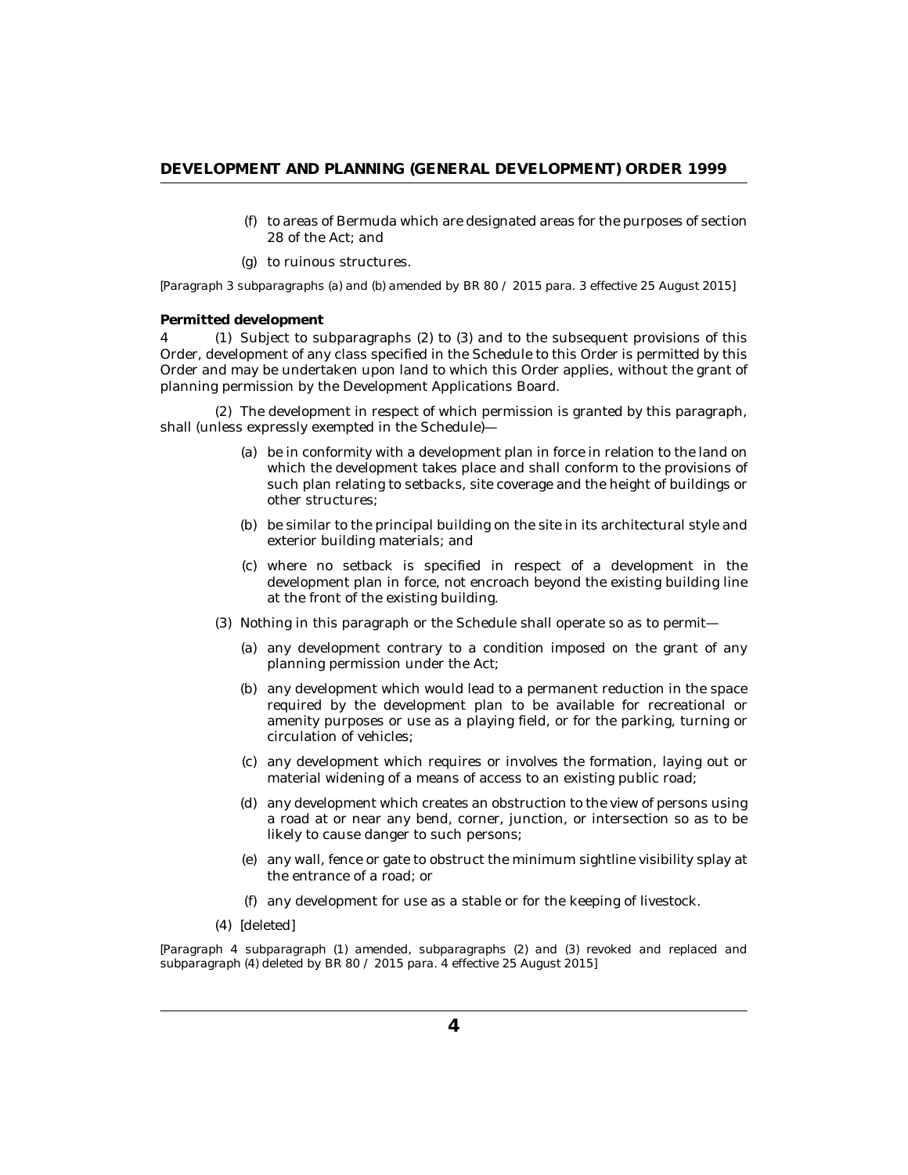- to areas of Bermuda which are designated areas for the purposes of section (f) 28 of the Act; and
- (g) to ruinous structures.

<span id="page-3-0"></span>*[Paragraph 3 subparagraphs (a) and (b) amended by BR 80 / 2015 para. 3 effective 25 August 2015]*

#### **Permitted development**

4 (1) Subject to subparagraphs (2) to (3) and to the subsequent provisions of this Order, development of any class specified in the Schedule to this Order is permitted by this Order and may be undertaken upon land to which this Order applies, without the grant of planning permission by the Development Applications Board.

The development in respect of which permission is granted by this paragraph, (2) shall (unless expressly exempted in the Schedule)—

- be in conformity with a development plan in force in relation to the land on (a) which the development takes place and shall conform to the provisions of such plan relating to setbacks, site coverage and the height of buildings or other structures;
- (b) be similar to the principal building on the site in its architectural style and exterior building materials; and
- (c) where no setback is specified in respect of a development in the development plan in force, not encroach beyond the existing building line at the front of the existing building.
- Nothing in this paragraph or the Schedule shall operate so as to permit— (3)
	- (a) any development contrary to a condition imposed on the grant of any planning permission under the Act;
	- (b) any development which would lead to a permanent reduction in the space required by the development plan to be available for recreational or amenity purposes or use as a playing field, or for the parking, turning or circulation of vehicles;
	- (c) any development which requires or involves the formation, laying out or material widening of a means of access to an existing public road;
	- (d) any development which creates an obstruction to the view of persons using a road at or near any bend, corner, junction, or intersection so as to be likely to cause danger to such persons;
	- any wall, fence or gate to obstruct the minimum sightline visibility splay at (e) the entrance of a road; or
	- any development for use as a stable or for the keeping of livestock. (f)
- *[deleted]* (4)

*[Paragraph 4 subparagraph (1) amended, subparagraphs (2) and (3) revoked and replaced and subparagraph (4) deleted by BR 80 / 2015 para. 4 effective 25 August 2015]*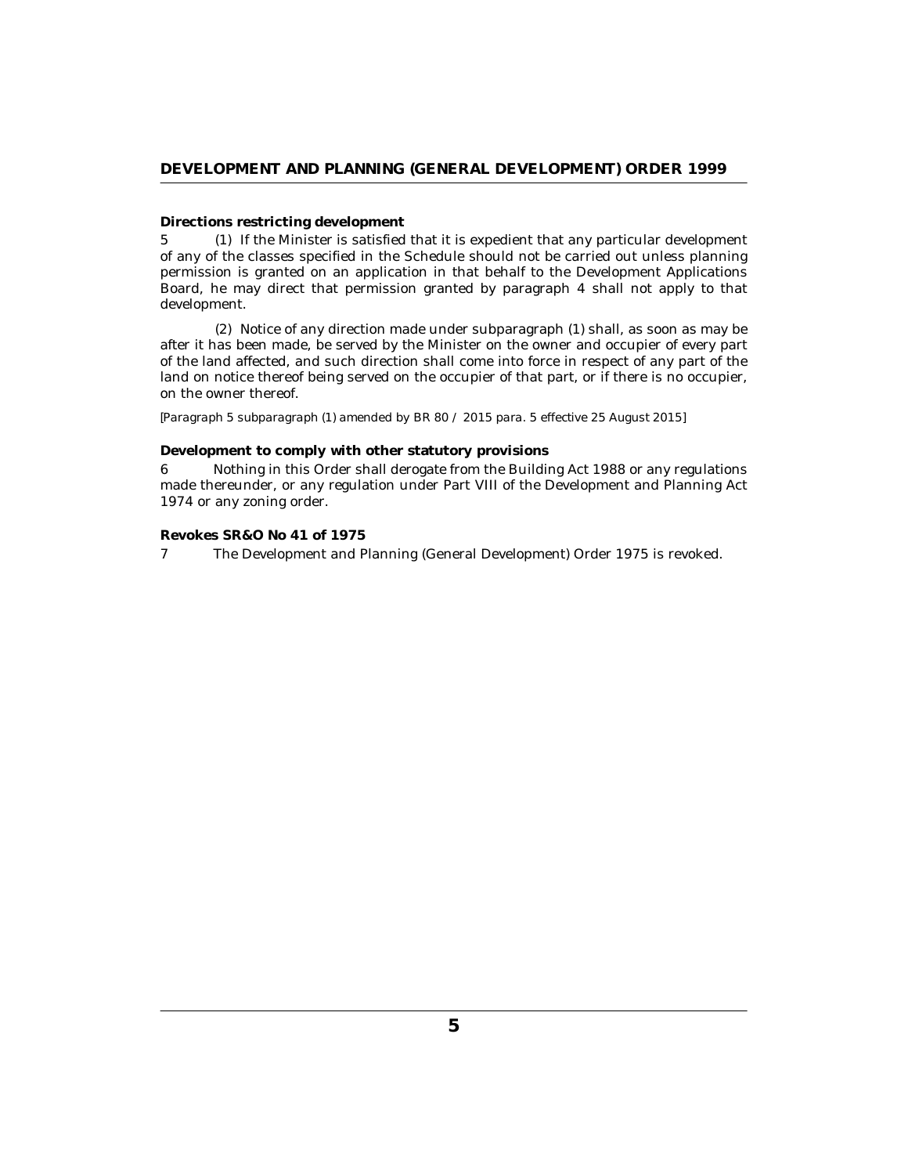#### <span id="page-4-0"></span>**Directions restricting development**

If the Minister is satisfied that it is expedient that any particular development 5 (1) of any of the classes specified in the Schedule should not be carried out unless planning permission is granted on an application in that behalf to the Development Applications Board, he may direct that permission granted by paragraph 4 shall not apply to that development.

(2) Notice of any direction made under subparagraph (1) shall, as soon as may be after it has been made, be served by the Minister on the owner and occupier of every part of the land affected, and such direction shall come into force in respect of any part of the land on notice thereof being served on the occupier of that part, or if there is no occupier, on the owner thereof.

*[Paragraph 5 subparagraph (1) amended by BR 80 / 2015 para. 5 effective 25 August 2015]*

#### **Development to comply with other statutory provisions**

Nothing in this Order shall derogate from the Building Act 1988 or any regulations made thereunder, or any regulation under Part VIII of the Development and Planning Act 1974 or any zoning order. 6

#### **Revokes SR&O No 41 of 1975**

The Development and Planning (General Development) Order 1975 is revoked. 7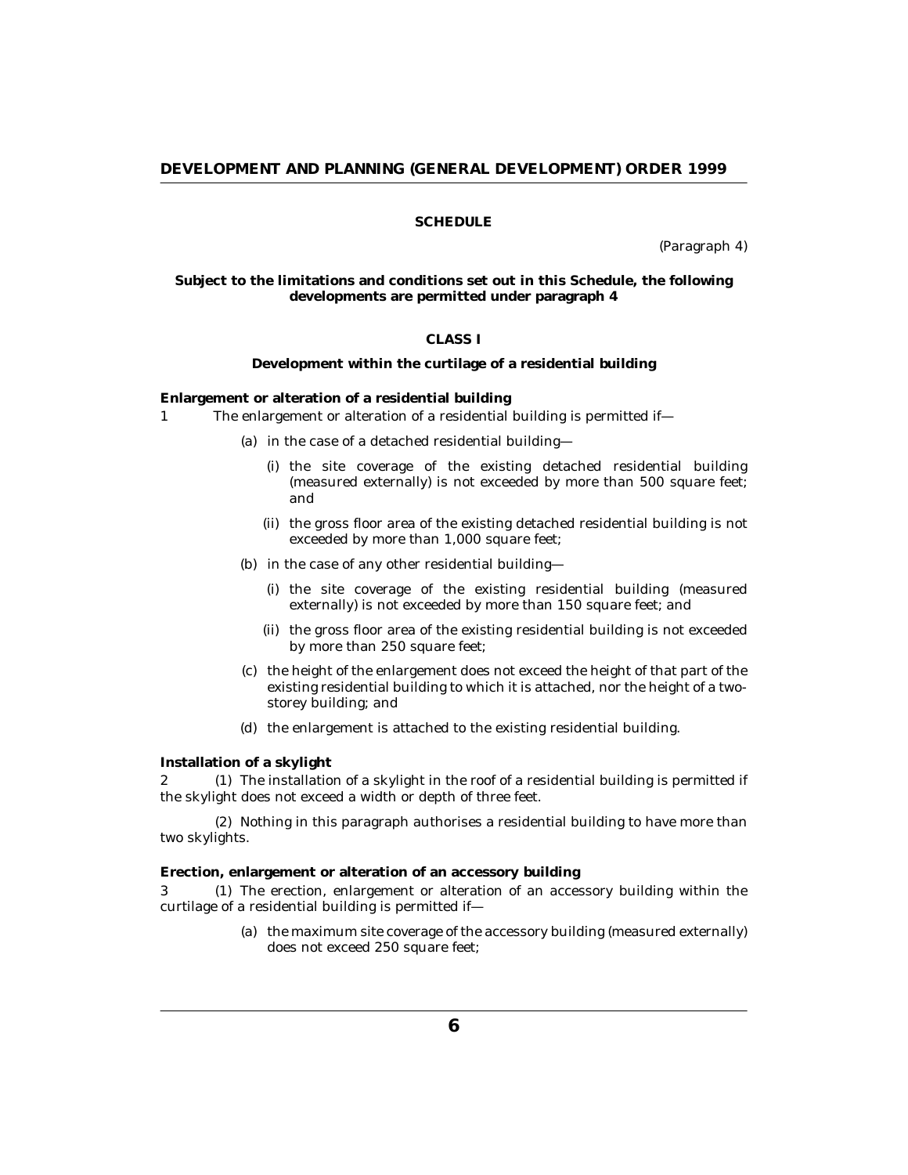# **SCHEDULE**

(Paragraph 4)

<span id="page-5-0"></span>**Subject to the limitations and conditions set out in this Schedule, the following developments are permitted under paragraph 4**

# **CLASS I**

**Development within the curtilage of a residential building**

**Enlargement or alteration of a residential building**

- The enlargement or alteration of a residential building is permitted if— 1
	- (a) in the case of a detached residential building—
		- (i) the site coverage of the existing detached residential building (measured externally) is not exceeded by more than 500 square feet; and
		- (ii) the gross floor area of the existing detached residential building is not exceeded by more than 1,000 square feet;
	- (b) in the case of any other residential building-
		- (i) the site coverage of the existing residential building (measured externally) is not exceeded by more than 150 square feet; and
		- (ii) the gross floor area of the existing residential building is not exceeded by more than 250 square feet;
	- (c) the height of the enlargement does not exceed the height of that part of the existing residential building to which it is attached, nor the height of a twostorey building; and
	- (d) the enlargement is attached to the existing residential building.

**Installation of a skylight**

 $2$  (1) The installation of a skylight in the roof of a residential building is permitted if the skylight does not exceed a width or depth of three feet.

(2) Nothing in this paragraph authorises a residential building to have more than two skylights.

**Erection, enlargement or alteration of an accessory building**

3 (1) The erection, enlargement or alteration of an accessory building within the curtilage of a residential building is permitted if—

> (a) the maximum site coverage of the accessory building (measured externally) does not exceed 250 square feet;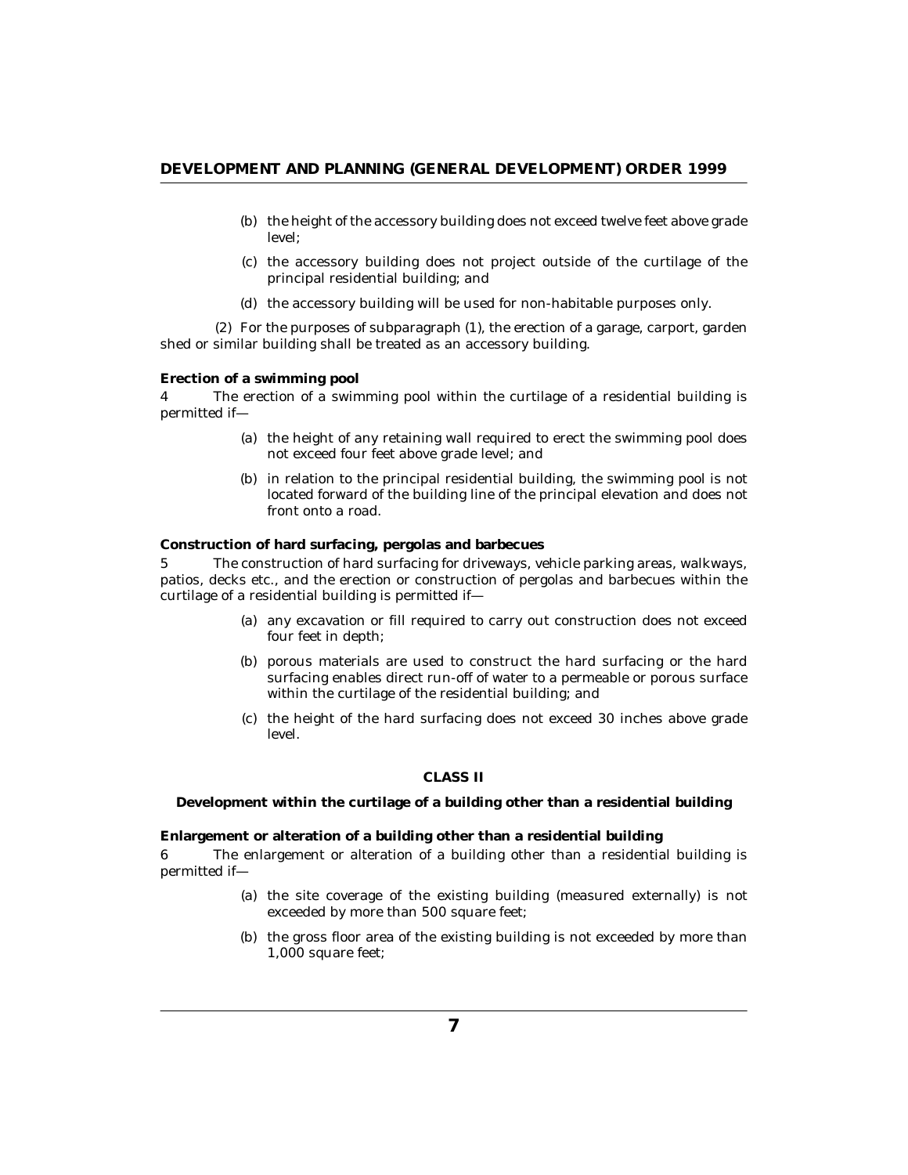- (b) the height of the accessory building does not exceed twelve feet above grade level;
- (c) the accessory building does not project outside of the curtilage of the principal residential building; and
- (d) the accessory building will be used for non-habitable purposes only.

For the purposes of subparagraph (1), the erection of a garage, carport, garden (2) shed or similar building shall be treated as an accessory building.

#### **Erection of a swimming pool**

The erection of a swimming pool within the curtilage of a residential building is permitted if— 4

- (a) the height of any retaining wall required to erect the swimming pool does not exceed four feet above grade level; and
- (b) in relation to the principal residential building, the swimming pool is not located forward of the building line of the principal elevation and does not front onto a road.

**Construction of hard surfacing, pergolas and barbecues**

The construction of hard surfacing for driveways, vehicle parking areas, walkways, patios, decks etc., and the erection or construction of pergolas and barbecues within the curtilage of a residential building is permitted if— 5

- (a) any excavation or fill required to carry out construction does not exceed four feet in depth;
- (b) porous materials are used to construct the hard surfacing or the hard surfacing enables direct run-off of water to a permeable or porous surface within the curtilage of the residential building; and
- (c) the height of the hard surfacing does not exceed 30 inches above grade level.

#### **CLASS II**

**Development within the curtilage of a building other than a residential building**

**Enlargement or alteration of a building other than a residential building**

The enlargement or alteration of a building other than a residential building is permitted if— 6

- (a) the site coverage of the existing building (measured externally) is not exceeded by more than 500 square feet;
- (b) the gross floor area of the existing building is not exceeded by more than 1,000 square feet;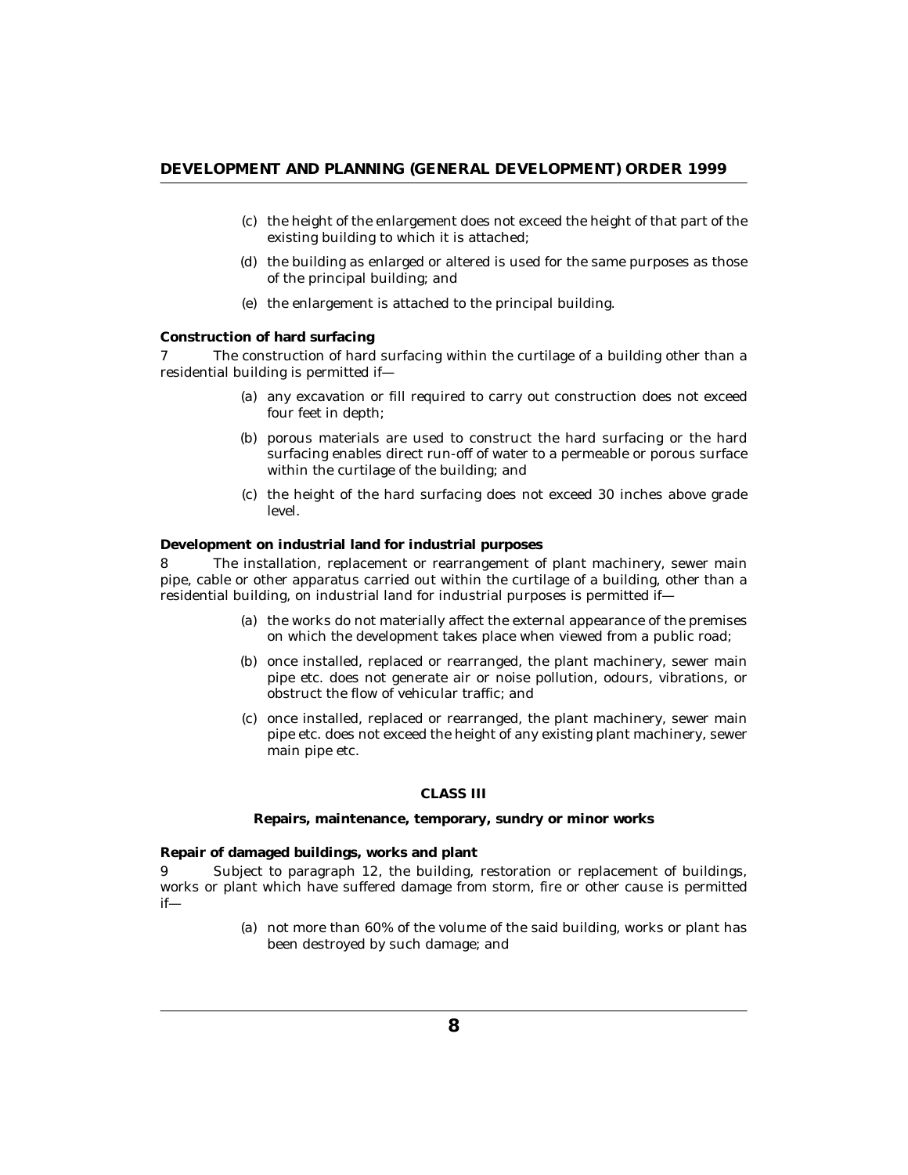- (c) the height of the enlargement does not exceed the height of that part of the existing building to which it is attached;
- (d) the building as enlarged or altered is used for the same purposes as those of the principal building; and
- (e) the enlargement is attached to the principal building.

#### **Construction of hard surfacing**

The construction of hard surfacing within the curtilage of a building other than a residential building is permitted if— 7

- (a) any excavation or fill required to carry out construction does not exceed four feet in depth;
- (b) porous materials are used to construct the hard surfacing or the hard surfacing enables direct run-off of water to a permeable or porous surface within the curtilage of the building; and
- (c) the height of the hard surfacing does not exceed 30 inches above grade level.

**Development on industrial land for industrial purposes**

The installation, replacement or rearrangement of plant machinery, sewer main pipe, cable or other apparatus carried out within the curtilage of a building, other than a residential building, on industrial land for industrial purposes is permitted if— 8

- (a) the works do not materially affect the external appearance of the premises on which the development takes place when viewed from a public road;
- (b) once installed, replaced or rearranged, the plant machinery, sewer main pipe etc. does not generate air or noise pollution, odours, vibrations, or obstruct the flow of vehicular traffic; and
- (c) once installed, replaced or rearranged, the plant machinery, sewer main pipe etc. does not exceed the height of any existing plant machinery, sewer main pipe etc.

#### **CLASS III**

**Repairs, maintenance, temporary, sundry or minor works**

**Repair of damaged buildings, works and plant**

Subject to paragraph 12, the building, restoration or replacement of buildings, works or plant which have suffered damage from storm, fire or other cause is permitted if— 9

> not more than 60% of the volume of the said building, works or plant has (a) been destroyed by such damage; and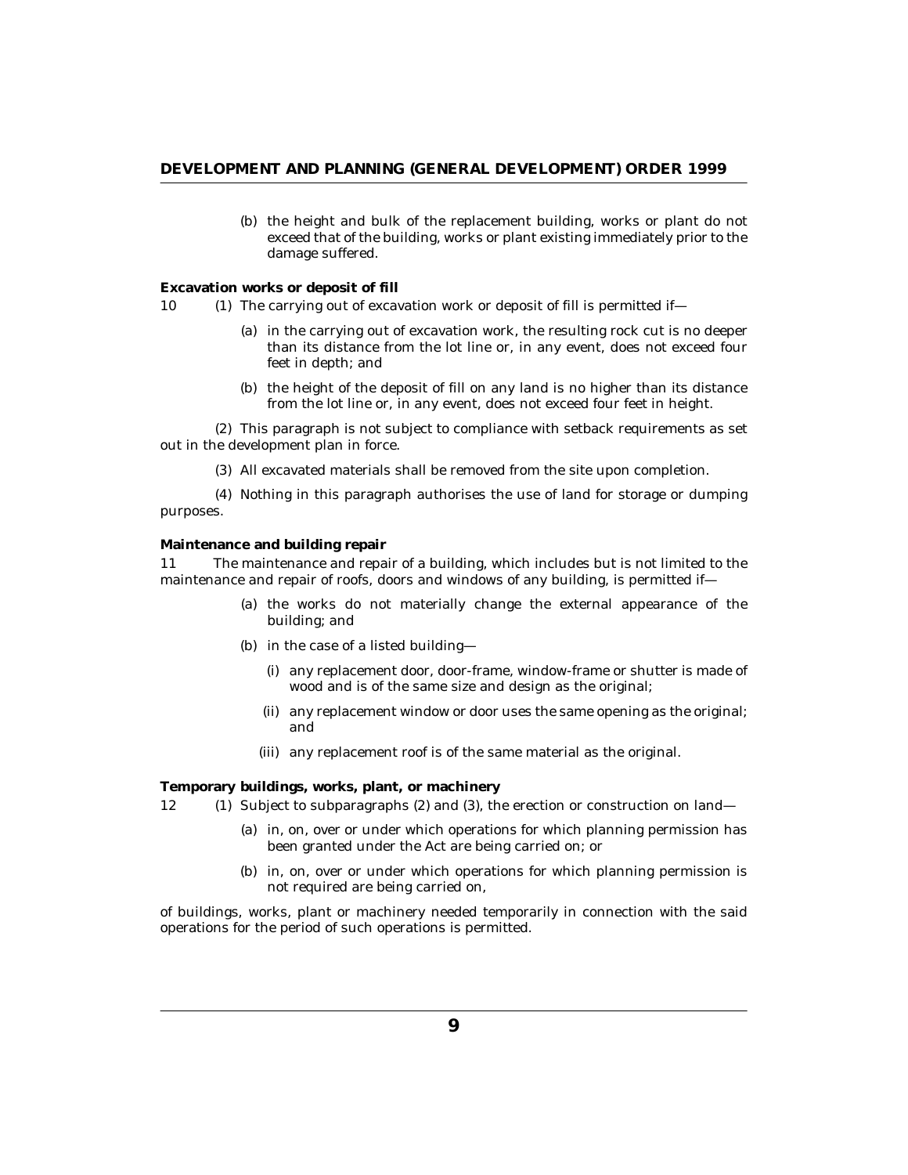(b) the height and bulk of the replacement building, works or plant do not exceed that of the building, works or plant existing immediately prior to the damage suffered.

**Excavation works or deposit of fill**

- 10 (1) The carrying out of excavation work or deposit of fill is permitted if—
	- (a) in the carrying out of excavation work, the resulting rock cut is no deeper than its distance from the lot line or, in any event, does not exceed four feet in depth; and
	- (b) the height of the deposit of fill on any land is no higher than its distance from the lot line or, in any event, does not exceed four feet in height.

(2) This paragraph is not subject to compliance with setback requirements as set out in the development plan in force.

All excavated materials shall be removed from the site upon completion. (3)

(4) Nothing in this paragraph authorises the use of land for storage or dumping purposes.

#### **Maintenance and building repair**

The maintenance and repair of a building, which includes but is not limited to the maintenance and repair of roofs, doors and windows of any building, is permitted if-11

- (a) the works do not materially change the external appearance of the building; and
- (b) in the case of a listed building
	- any replacement door, door-frame, window-frame or shutter is made of (i) wood and is of the same size and design as the original;
	- (ii) any replacement window or door uses the same opening as the original; and
	- (iii) any replacement roof is of the same material as the original.

**Temporary buildings, works, plant, or machinery**

- 12 (1) Subject to subparagraphs (2) and (3), the erection or construction on land—
	- (a) in, on, over or under which operations for which planning permission has been granted under the Act are being carried on; or
	- (b) in, on, over or under which operations for which planning permission is not required are being carried on,

of buildings, works, plant or machinery needed temporarily in connection with the said operations for the period of such operations is permitted.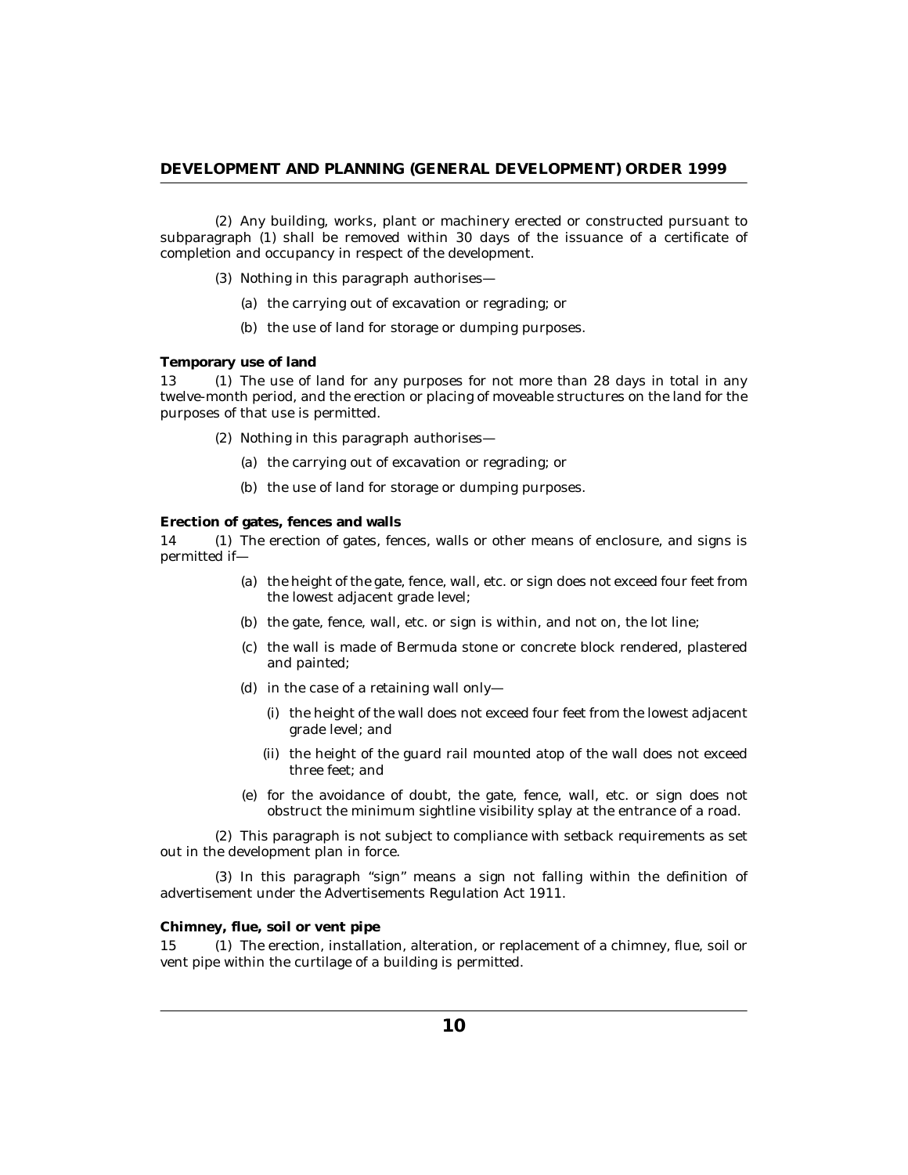(2) Any building, works, plant or machinery erected or constructed pursuant to subparagraph (1) shall be removed within 30 days of the issuance of a certificate of completion and occupancy in respect of the development.

- (3) Nothing in this paragraph authorises—
	- (a) the carrying out of excavation or regrading; or
	- (b) the use of land for storage or dumping purposes.

**Temporary use of land**

13 (1) The use of land for any purposes for not more than 28 days in total in any twelve-month period, and the erection or placing of moveable structures on the land for the purposes of that use is permitted.

- (2) Nothing in this paragraph authorises—
	- (a) the carrying out of excavation or regrading; or
	- (b) the use of land for storage or dumping purposes.

#### **Erection of gates, fences and walls**

14 (1) The erection of gates, fences, walls or other means of enclosure, and signs is permitted if—

- (a) the height of the gate, fence, wall, etc. or sign does not exceed four feet from the lowest adjacent grade level;
- (b) the gate, fence, wall, etc. or sign is within, and not on, the lot line;
- (c) the wall is made of Bermuda stone or concrete block rendered, plastered and painted;
- (d) in the case of a retaining wall only—
	- (i) the height of the wall does not exceed four feet from the lowest adjacent grade level; and
	- (ii) the height of the guard rail mounted atop of the wall does not exceed three feet; and
- for the avoidance of doubt, the gate, fence, wall, etc. or sign does not (e) obstruct the minimum sightline visibility splay at the entrance of a road.

This paragraph is not subject to compliance with setback requirements as set (2) out in the development plan in force.

 $(3)$  In this paragraph "sign" means a sign not falling within the definition of advertisement under the Advertisements Regulation Act 1911.

#### **Chimney, flue, soil or vent pipe**

15 (1) The erection, installation, alteration, or replacement of a chimney, flue, soil or vent pipe within the curtilage of a building is permitted.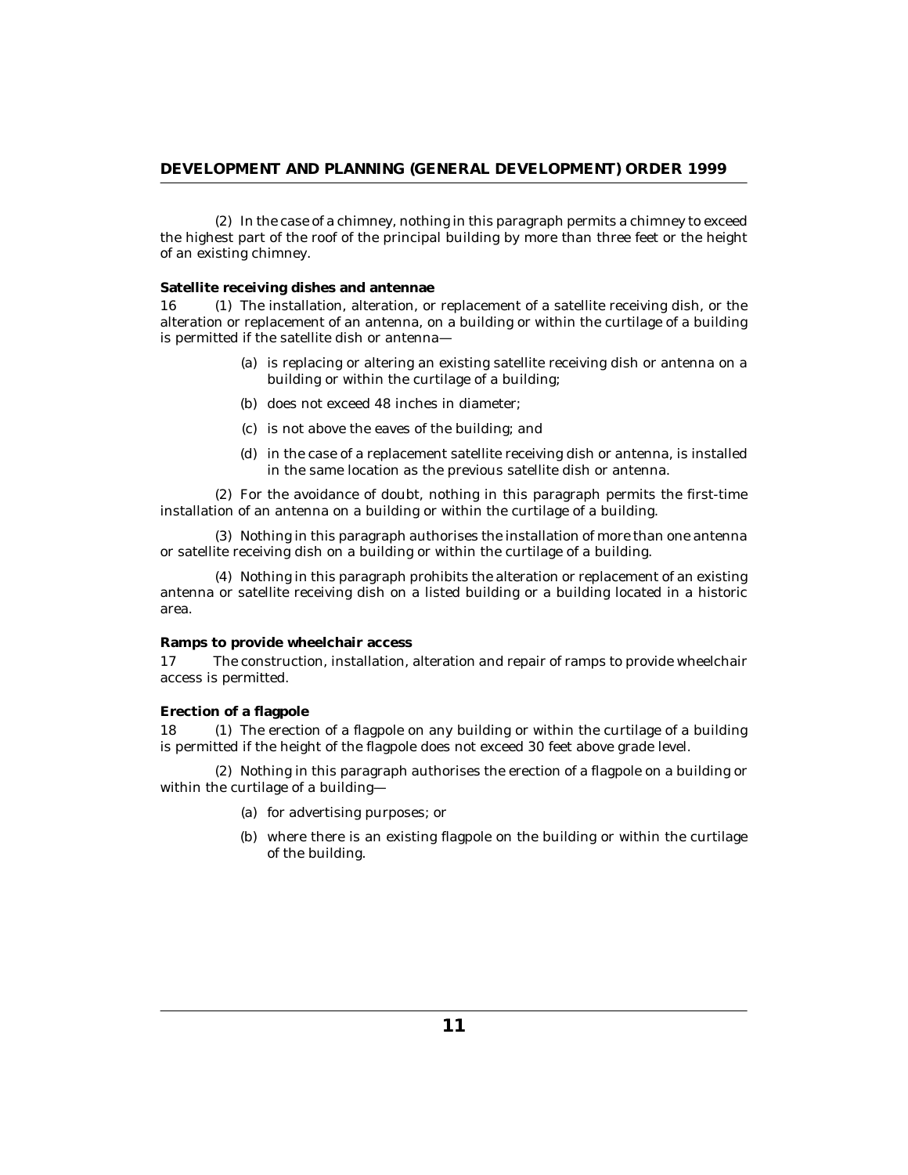(2) In the case of a chimney, nothing in this paragraph permits a chimney to exceed the highest part of the roof of the principal building by more than three feet or the height of an existing chimney.

**Satellite receiving dishes and antennae**

 $(1)$  The installation, alteration, or replacement of a satellite receiving dish, or the alteration or replacement of an antenna, on a building or within the curtilage of a building is permitted if the satellite dish or antenna— 16

- (a) is replacing or altering an existing satellite receiving dish or antenna on a building or within the curtilage of a building;
- (b) does not exceed 48 inches in diameter;
- (c) is not above the eaves of the building; and
- in the case of a replacement satellite receiving dish or antenna, is installed (d) in the same location as the previous satellite dish or antenna.

For the avoidance of doubt, nothing in this paragraph permits the first-time (2) installation of an antenna on a building or within the curtilage of a building.

(3) Nothing in this paragraph authorises the installation of more than one antenna or satellite receiving dish on a building or within the curtilage of a building.

(4) Nothing in this paragraph prohibits the alteration or replacement of an existing antenna or satellite receiving dish on a listed building or a building located in a historic area.

#### **Ramps to provide wheelchair access**

The construction, installation, alteration and repair of ramps to provide wheelchair access is permitted. 17

#### **Erection of a flagpole**

18 (1) The erection of a flagpole on any building or within the curtilage of a building is permitted if the height of the flagpole does not exceed 30 feet above grade level.

Nothing in this paragraph authorises the erection of a flagpole on a building or (2) within the curtilage of a building—

- (a) for advertising purposes; or
- (b) where there is an existing flagpole on the building or within the curtilage of the building.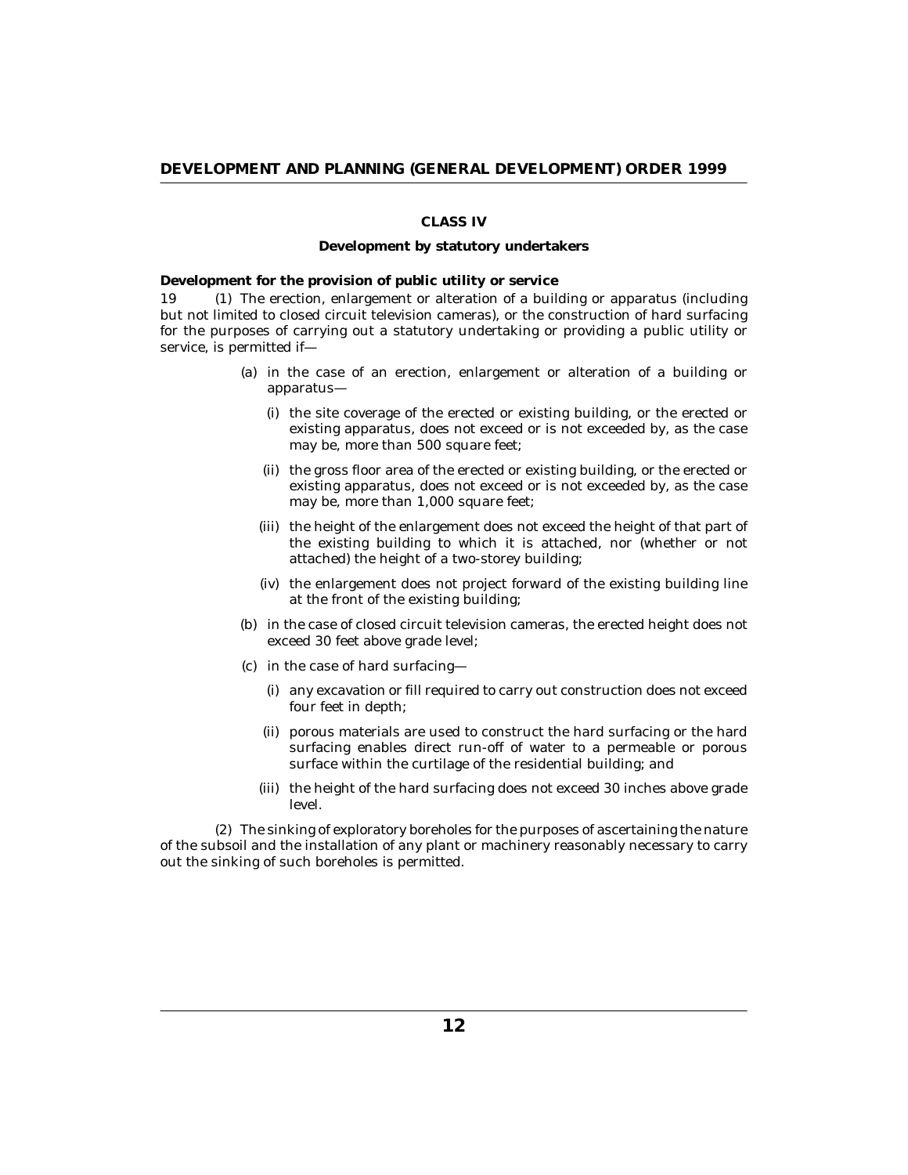# **CLASS IV**

#### **Development by statutory undertakers**

**Development for the provision of public utility or service**

19 (1) The erection, enlargement or alteration of a building or apparatus (including but not limited to closed circuit television cameras), or the construction of hard surfacing for the purposes of carrying out a statutory undertaking or providing a public utility or service, is permitted if—

- (a) in the case of an erection, enlargement or alteration of a building or apparatus—
	- (i) the site coverage of the erected or existing building, or the erected or existing apparatus, does not exceed or is not exceeded by, as the case may be, more than 500 square feet;
	- (ii) the gross floor area of the erected or existing building, or the erected or existing apparatus, does not exceed or is not exceeded by, as the case may be, more than 1,000 square feet;
	- (iii) the height of the enlargement does not exceed the height of that part of the existing building to which it is attached, nor (whether or not attached) the height of a two-storey building;
	- (iv) the enlargement does not project forward of the existing building line at the front of the existing building;
- (b) in the case of closed circuit television cameras, the erected height does not exceed 30 feet above grade level;
- (c) in the case of hard surfacing
	- any excavation or fill required to carry out construction does not exceed (i) four feet in depth;
	- (ii) porous materials are used to construct the hard surfacing or the hard surfacing enables direct run-off of water to a permeable or porous surface within the curtilage of the residential building; and
	- (iii) the height of the hard surfacing does not exceed 30 inches above grade level.

The sinking of exploratory boreholes for the purposes of ascertaining the nature (2) of the subsoil and the installation of any plant or machinery reasonably necessary to carry out the sinking of such boreholes is permitted.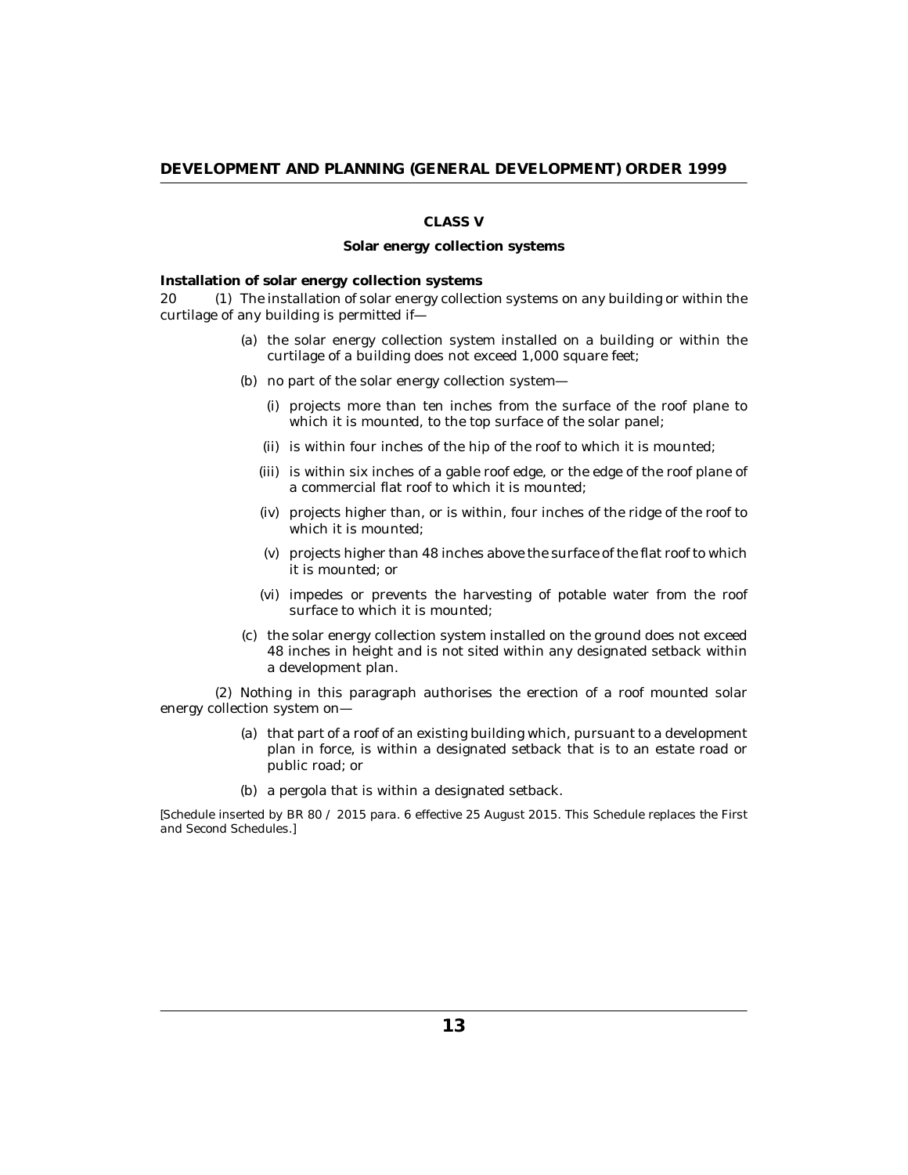# **CLASS V**

#### **Solar energy collection systems**

**Installation of solar energy collection systems**

The installation of solar energy collection systems on any building or within the 20 (1) curtilage of any building is permitted if—

- (a) the solar energy collection system installed on a building or within the curtilage of a building does not exceed 1,000 square feet;
- (b) no part of the solar energy collection system—
	- (i) projects more than ten inches from the surface of the roof plane to which it is mounted, to the top surface of the solar panel;
	- (ii) is within four inches of the hip of the roof to which it is mounted;
	- (iii) is within six inches of a gable roof edge, or the edge of the roof plane of a commercial flat roof to which it is mounted;
	- (iv) projects higher than, or is within, four inches of the ridge of the roof to which it is mounted;
	- $(v)$  projects higher than 48 inches above the surface of the flat roof to which it is mounted; or
	- (vi) impedes or prevents the harvesting of potable water from the roof surface to which it is mounted;
- (c) the solar energy collection system installed on the ground does not exceed 48 inches in height and is not sited within any designated setback within a development plan.

(2) Nothing in this paragraph authorises the erection of a roof mounted solar energy collection system on—

- (a) that part of a roof of an existing building which, pursuant to a development plan in force, is within a designated setback that is to an estate road or public road; or
- (b) a pergola that is within a designated setback.

*[Schedule inserted by BR 80 / 2015 para. 6 effective 25 August 2015. This Schedule replaces the First and Second Schedules.]*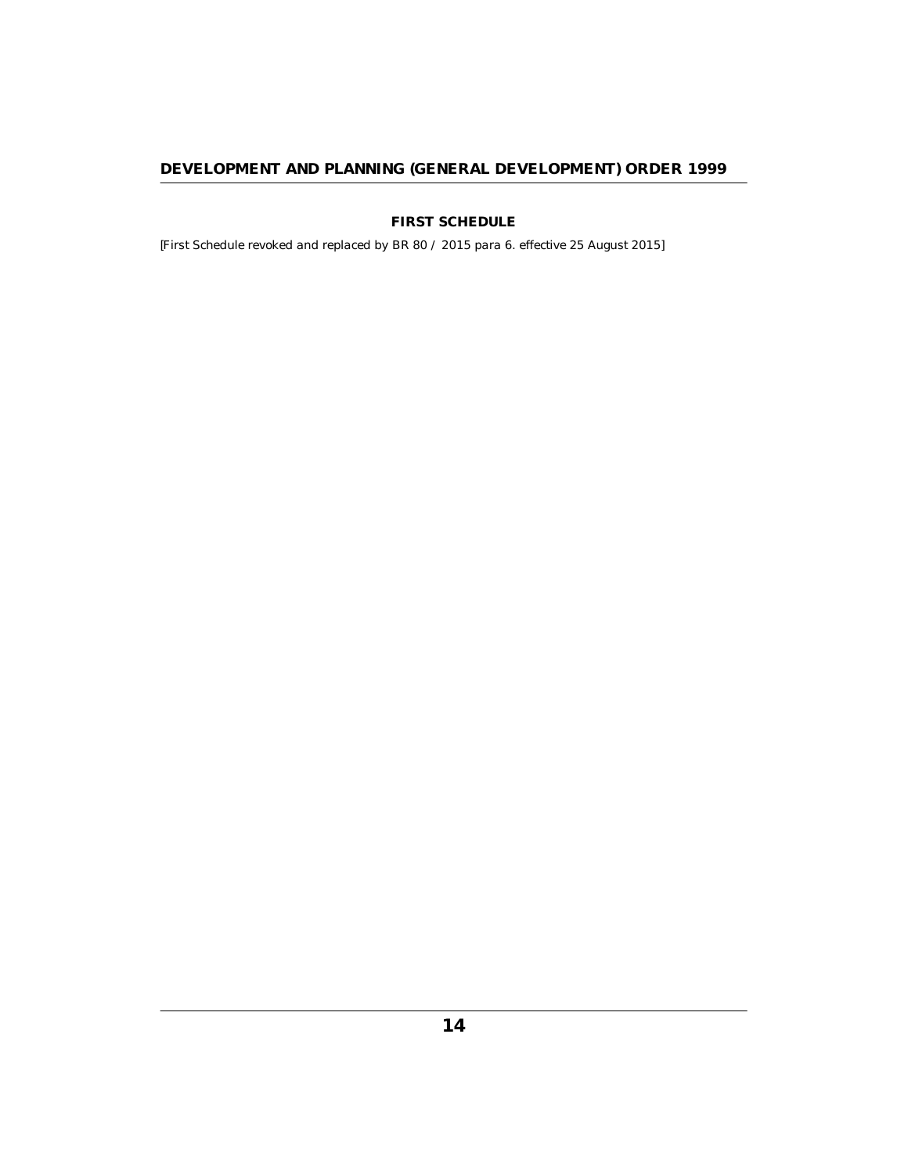**FIRST SCHEDULE**

<span id="page-13-0"></span>*[First Schedule revoked and replaced by BR 80 / 2015 para 6. effective 25 August 2015]*